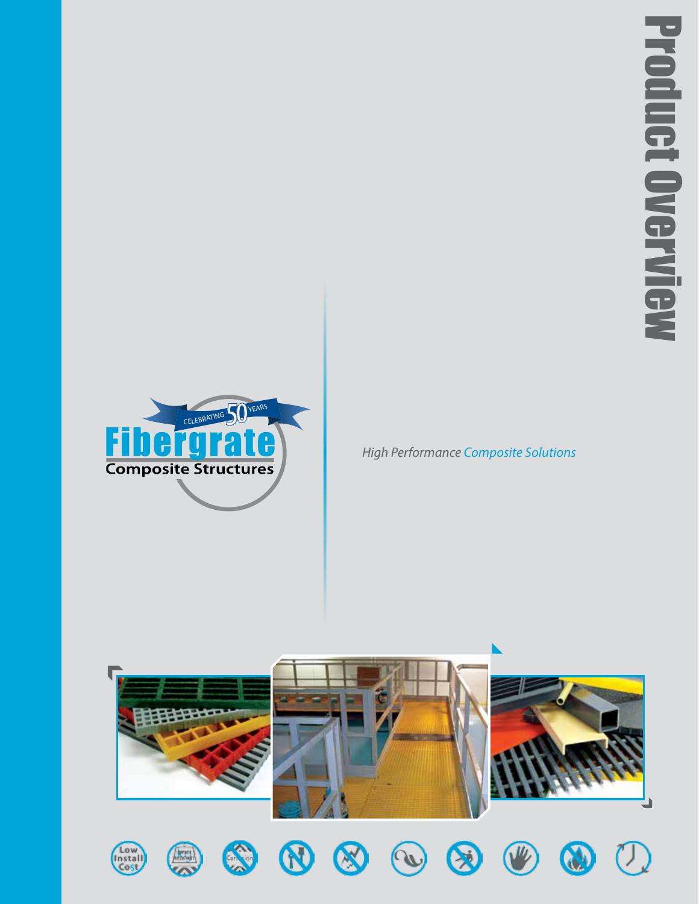

*High Performance Composite Solutions*

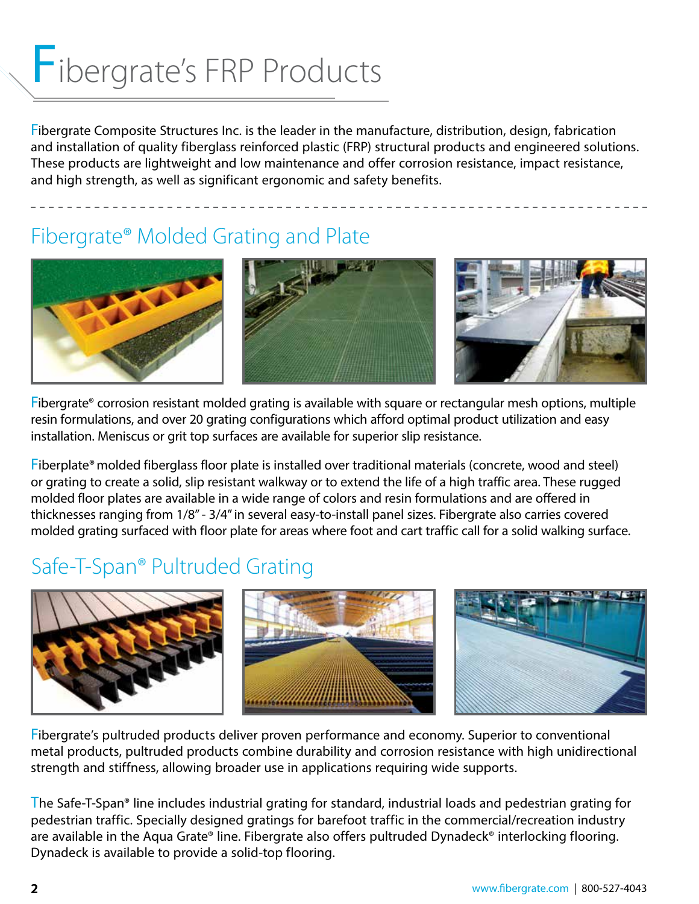## Fibergrate's FRP Products

Fibergrate Composite Structures Inc. is the leader in the manufacture, distribution, design, fabrication and installation of quality fiberglass reinforced plastic (FRP) structural products and engineered solutions. These products are lightweight and low maintenance and offer corrosion resistance, impact resistance, and high strength, as well as significant ergonomic and safety benefits.

#### Fibergrate® Molded Grating and Plate



Fibergrate® corrosion resistant molded grating is available with square or rectangular mesh options, multiple resin formulations, and over 20 grating configurations which afford optimal product utilization and easy installation. Meniscus or grit top surfaces are available for superior slip resistance.

Fiberplate®molded fiberglass floor plate is installed over traditional materials (concrete, wood and steel) or grating to create a solid, slip resistant walkway or to extend the life of a high traffic area. These rugged molded floor plates are available in a wide range of colors and resin formulations and are offered in thicknesses ranging from 1/8" - 3/4" in several easy-to-install panel sizes. Fibergrate also carries covered molded grating surfaced with floor plate for areas where foot and cart traffic call for a solid walking surface.

#### Safe-T-Span® Pultruded Grating



Fibergrate's pultruded products deliver proven performance and economy. Superior to conventional metal products, pultruded products combine durability and corrosion resistance with high unidirectional strength and stiffness, allowing broader use in applications requiring wide supports.

The Safe-T-Span® line includes industrial grating for standard, industrial loads and pedestrian grating for pedestrian traffic. Specially designed gratings for barefoot traffic in the commercial/recreation industry are available in the Aqua Grate® line. Fibergrate also offers pultruded Dynadeck® interlocking flooring. Dynadeck is available to provide a solid-top flooring.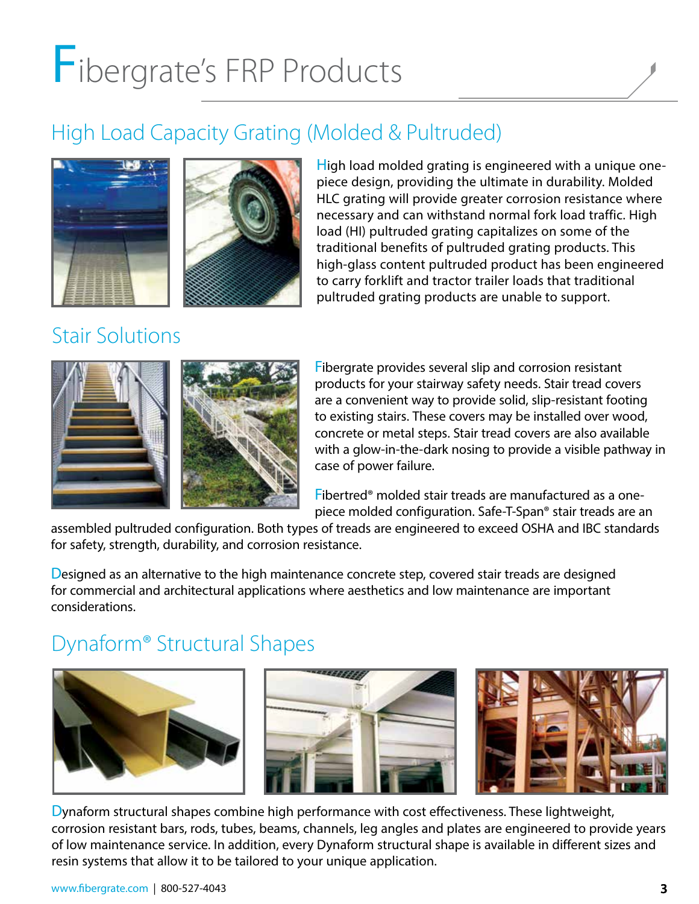# Fibergrate's FRP Products

#### High Load Capacity Grating (Molded & Pultruded)





#### Stair Solutions

High load molded grating is engineered with a unique onepiece design, providing the ultimate in durability. Molded HLC grating will provide greater corrosion resistance where necessary and can withstand normal fork load traffic. High load (HI) pultruded grating capitalizes on some of the traditional benefits of pultruded grating products. This high-glass content pultruded product has been engineered to carry forklift and tractor trailer loads that traditional pultruded grating products are unable to support.



Fibergrate provides several slip and corrosion resistant products for your stairway safety needs. Stair tread covers are a convenient way to provide solid, slip-resistant footing to existing stairs. These covers may be installed over wood, concrete or metal steps. Stair tread covers are also available with a glow-in-the-dark nosing to provide a visible pathway in case of power failure.

Fibertred® molded stair treads are manufactured as a onepiece molded configuration. Safe-T-Span® stair treads are an

assembled pultruded configuration. Both types of treads are engineered to exceed OSHA and IBC standards for safety, strength, durability, and corrosion resistance.

Designed as an alternative to the high maintenance concrete step, covered stair treads are designed for commercial and architectural applications where aesthetics and low maintenance are important considerations.

#### Dynaform® Structural Shapes







Dynaform structural shapes combine high performance with cost effectiveness. These lightweight, corrosion resistant bars, rods, tubes, beams, channels, leg angles and plates are engineered to provide years of low maintenance service. In addition, every Dynaform structural shape is available in different sizes and resin systems that allow it to be tailored to your unique application.